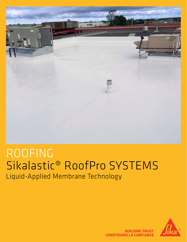

# ROOFING Sikalastic® RoofPro SYSTEMS Liquid-Applied Membrane Technology



**RHII DING TRI CONSTRUIRE LA CONFI**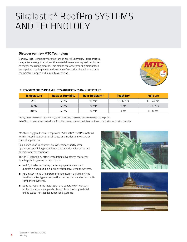# Sikalastic® RoofPro SYSTEMS AND TECHNOLOGY

#### Discover our new MTC Technology

Our new MTC Technology for Moisture-Triggered Chemistry incorporates a unique technology that allows the material to use atmospheric moisture to trigger the curing process. This means the waterproofing membranes are capable of curing under a wide range of conditions including extreme temperature ranges and humidity variations.



#### THE SYSTEM CURES IN 10 MINUTES AND BECOMES RAIN-RESISTANT:

| <b>Temperature</b> | <b>Relative Humidity</b> | $Rain-Resistant*$ | <b>Touch Dry</b> | <b>Full Cure</b> |
|--------------------|--------------------------|-------------------|------------------|------------------|
| $2^{\circ}C$       | 50 %                     | $10 \text{ min}$  | 8 - 12 hrs       | 16 - 24 hrs      |
| 10 °C              | 50%                      | $10 \text{ min}$  | 4 hrs            | $8 - 12$ hrs     |
| 20 °C              | 50%                      | $10 \text{ min}$  | 3 hrs            | $6 - 8$ hrs      |

\*Heavy rain or rain showers can cause physical damage to the applied membrane while in its liquid phase.

Note: Times are approximate and will be affected by changing ambient conditions, particularly temperature and relative humidity.

Moisture-triggered chemistry provides Sikalastic® RoofPro systems with increased tolerance to substrate and incidental moisture at time of application.

Sikalastic® RoofPro systems are waterproof shortly after application, providing protection against sudden rainstorms and adverse weather conditions.

This MTC Technology offers installation advantages that other liquid-applied systems cannot match:

- $\blacksquare$  No CO<sub>2</sub> is released during the curing system, means no outgassing and bubbling, unlike typical polyurethane systems.
- Applicator-friendly in extreme temperatures, particularly hot weather, unlike typical polymethyl methacrylate and other multicomponent systems.
- **Does not require the installation of a separate UV-resistant** protection layer nor separate sheet rubber flashing material, unlike typical hot-applied rubberized systems.



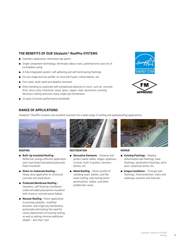### THE BENEFITS OF OUR Sikalastic® RoofPro SYSTEMS

- **•** Seamless application: eliminates lap seams
- Single component technology: eliminates labour costs, potential error and risk of incomplete curing
- A fully integrated system: self-adhering and self-terminating flashings
- For any shape and any profile: no more pitch pans, metal sleeves, etc.
- Fire-rated, wind-rated and alkaline-resistant
- Direct bonding to substrate with exceptional adhesion to most, such as: concrete, brick, terra-cotta, limestone, wood, glass, copper, steel, aluminium, existing bitumous roofing and even many single-ply membranes
- 25 years of proven performance worldwide





### RANGE OF APPLICATIONS

Sikalastic® RoofPro Systems are excellent solutions for a wide range of roofing and waterproofing applications:



#### ROOFING

- Built-Up Insulated Roofing Reflective, energy-efficient application over cover board and polyisocyanurate foam insulation.
- Direct-to-Substrate Roofing *–* Heavy-duty application to structural concrete and wood decks.
- Protected Membrane Roofing *–* Seamless, self-flashing installation under extruded polystyrene insulation with stone or concrete paver ballast.
- Recover Roofing *–* Direct application to existing asphaltic, modified bitumen, and single-ply membranes, potentially eliminating the need for costly replacement of existing roofing, as well as adding minimal additional weight – less than 1 psf.



#### RESTORATION

- **Decorative Elements** Preserve and protect water tables, ledges, eyebrows, cornices, built-in gutters, dormers, domes, etc.
- **Metal Roofing** Retain profile of standing seam, batten, and flat seam roofing; seal overlap joints, penetrations, valleys, and other problematic areas.



#### REPAIR

- **Existing Flashings Replace** deteriorated wall flashings, base flashings, penetration flashings, pitch pans, expansion joints, etc.
- **u** Unique Conditions Through-wall flashings, lintel protection, stairs and walkways, planters and tree pits.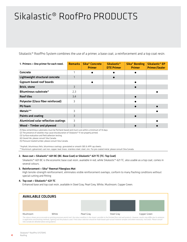# Sikalastic® RoofPro PRODUCTS

Sikalastic® RoofPro System combines the use of a primer, a base coat, a reinforcement and a top coat resin.

| 1. Primers = One primer for each need.    | <b>Remarks</b> | <b>Sika<sup>®</sup> Concrete</b><br><b>Primer</b> | <b>Sikalastic<sup>®</sup></b><br><b>DTE Primer</b> | <b>Sika<sup>®</sup> Bonding</b><br><b>Primer</b> | <b>Sikalastic<sup>®</sup></b> EP<br><b>Primer/Sealer</b> |
|-------------------------------------------|----------------|---------------------------------------------------|----------------------------------------------------|--------------------------------------------------|----------------------------------------------------------|
| Concrete                                  |                |                                                   |                                                    |                                                  |                                                          |
| Lightweight structural concrete           |                |                                                   |                                                    |                                                  |                                                          |
| <b>Gypsum based roof boards</b>           |                |                                                   |                                                    | $\bullet$                                        |                                                          |
| <b>Brick, stone</b>                       | 3              |                                                   |                                                    | $\bullet$                                        |                                                          |
| Bituminous substrate*                     | 2,3            |                                                   |                                                    |                                                  |                                                          |
| <b>Roof tiles</b>                         | 3,4            |                                                   |                                                    | $\bullet$                                        |                                                          |
| <b>Polyester (Glass fiber reinforced)</b> | 3              |                                                   |                                                    |                                                  |                                                          |
| PU foam                                   |                |                                                   |                                                    |                                                  |                                                          |
| Metals**                                  | 3              |                                                   |                                                    |                                                  |                                                          |
| <b>Paints and coating</b>                 | 3              |                                                   |                                                    | $\bullet$                                        |                                                          |
| Aluminized solar reflective coatings      | $\overline{3}$ |                                                   |                                                    |                                                  |                                                          |
| Wood - Timber and plywood                 | $\overline{3}$ |                                                   |                                                    |                                                  |                                                          |

(1) New cementitious substrates must be Portland-based and must cure within a minimum of 14 days.

(2) The presence of volatiles may cause discolouration of Sikalastic® if not properly primed.

(3) Surface evaluation and field adhesion testing.

(4) Glazed tile, please consult Sika Canada.

(5) Pressure treated lumber, please consult Sika Canada.

\*Asphalt, bituminous felts, bituminous coatings, granulated or smooth SBS & APP cap sheets.

\*\*Aluminium, galvanized, cast iron, copper, lead, brass, stainless steel, steel, zinc. For pre-coated metal, please consult Sika Canada.

#### 2. Base coat = Sikalastic®-601 BC (BC: Base Coat) or Sikalastic®-621 TC (TC: Top Coat)

Sikalastic®-601 BC is the economic base coat resin, available in red, while Sikalastic®-621 TC, also usable as a top coat, comes in several colours.

#### 3. Reinforcement = Sika® Reemat Fiberglass Mat

High tensile-strength reinforcement, eliminates visible reinforcement overlaps, conform to many flashing conditions without special cutting and fitting

#### 4. Top coat = Sikalastic®-621 TC

Enhanced base and top coat resin, available in Steel Gray, Pearl Grey, White, Mushroom, Copper Green.

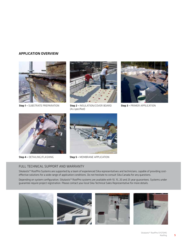### APPLICATION OVERVIEW





Step 1 - SUBSTRATE PREPARATION Step 2 - INSULATION/COVER BOARD (As specified)



Step 3 – PRIMER APPLICATION





Step 4 - DETAILING/FLASHING Step 5 - MEMBRANE APPLICATION

### FULL TECHNICAL SUPPORT AND WARRANTY

Sikalastic® RoofPro Systems are supported by a team of experienced Sika representatives and technicians, capable of providing costeffective solutions for a wide range of application conditions. Do not hesitate to consult Sika Canada for any questions.

Depending on system configuration, Sikalastic® RoofPro systems are available with 10, 15, 20 and 25 year guarantees. Systems under guarantee require project registration. Please contact your local Sika Technical Sales Representative for more details.



5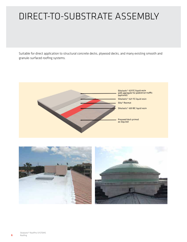# DIRECT-TO-SUBSTRATE ASSEMBLY

Suitable for direct application to structural concrete decks, plywood decks, and many existing smooth and granule-surfaced roofing systems.



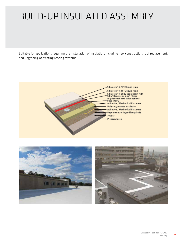# BUILD-UP INSULATED ASSEMBLY

Suitable for applications requiring the installation of insulation, including new construction, roof replacement, and upgrading of existing roofing systems.